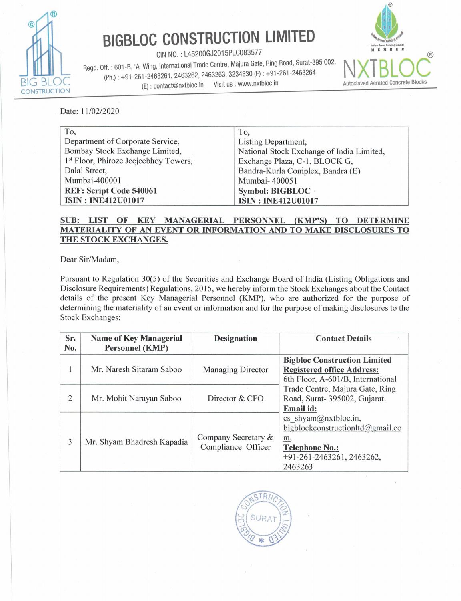

## BIGBLOC CONSTRUCTION LIMITED

CIN NO. : L45200GJ2015PLC083577 Regd. Off. : 601-B, 'A' Wing, International Trade Centre, Majura Gate, Ring Road, Surat-395 002. (Ph.) : +91-261-2463261, 2463262, 2463263, 3234330 (F) : +91-261 -2463264  $\overline{B}$ IG BLOC (Ph.): +91-201-2403201, 2403202, 2<br>(E): contact@nxtbloc.in Visit us : www.nxtbloc.in **BIGBLOC CONSTRUCT**<br>
CIN NO. : L45200GJ2015PL<br>
Regd. Off. : 601-B, 'A' Wing, International Trade Centre, N<br>
(Ph.) : +91-261-2463261, 2463262, 2463263, 32<br>
(E) : contact@nxtbloc.in Visit us<br>
Date: 11/02/2020



|                                                                                                                                                                                                                                                                                                                                                                                                                                                 | <b>BIGBLOC CONSTRUCTION LIMITED</b>                                                                                                   | dian Green Building Council<br>E M B E                                                                         |
|-------------------------------------------------------------------------------------------------------------------------------------------------------------------------------------------------------------------------------------------------------------------------------------------------------------------------------------------------------------------------------------------------------------------------------------------------|---------------------------------------------------------------------------------------------------------------------------------------|----------------------------------------------------------------------------------------------------------------|
| Regd. Off.: 601-B, 'A' Wing, International Trade Centre, Majura Gate, Ring Road, Surat-395 002.<br>(E): contact@nxtbloc.in<br>ON                                                                                                                                                                                                                                                                                                                | CIN NO.: L45200GJ2015PLC083577<br>(Ph.): +91-261-2463261, 2463262, 2463263, 3234330 (F): +91-261-2463264<br>Visit us : www.nxtbloc.in | <b>Autoclaved Aerated Concrete</b>                                                                             |
| Date: 11/02/2020                                                                                                                                                                                                                                                                                                                                                                                                                                |                                                                                                                                       |                                                                                                                |
| To,<br>Department of Corporate Service,<br>Bombay Stock Exchange Limited,<br><sup>1st</sup> Floor, Phiroze Jeejeebhoy Towers,<br>Dalal Street,<br>Mumbai-400001<br><b>REF: Script Code 540061</b><br><b>ISIN: INE412U01017</b>                                                                                                                                                                                                                  | To,<br>Listing Department,<br>Mumbai-400051<br><b>Symbol: BIGBLOC</b><br><b>ISIN: INE412U01017</b>                                    | National Stock Exchange of India Limited,<br>Exchange Plaza, C-1, BLOCK G,<br>Bandra-Kurla Complex, Bandra (E) |
| <b>SUB:</b><br><b>LIST</b><br>KEY<br>OF<br>MATERIALITY OF AN EVENT OR INFORMATION AND TO MAKE DISCLOSURES TO<br>THE STOCK EXCHANGES.                                                                                                                                                                                                                                                                                                            | MANAGERIAL PERSONNEL                                                                                                                  | (KMP'S)<br><b>TO</b><br><b>DETERMINE</b>                                                                       |
| Dear Sir/Madam,                                                                                                                                                                                                                                                                                                                                                                                                                                 |                                                                                                                                       |                                                                                                                |
| Pursuant to Regulation 30(5) of the Securities and Exchange Board of India (Listing Obligations and<br>Disclosure Requirements) Regulations, 2015, we hereby inform the Stock Exchanges about the Contact<br>details of the present Key Managerial Personnel (KMP), who are authorized for the purpose of<br>determining the materiality of an event or information and for the purpose of making disclosures to the<br><b>Stock Exchanges:</b> |                                                                                                                                       |                                                                                                                |
| Sr.<br><b>Name of Key Managerial</b><br>No.<br><b>Personnel (KMP)</b>                                                                                                                                                                                                                                                                                                                                                                           | <b>Designation</b>                                                                                                                    | <b>Contact Details</b>                                                                                         |

## SUB: LIST OF KEY MANAGERIAL PERSONNEL (KMP'S) TO DETERMINE MATERIALITY OF AN EVENT OR INFORMATION AND TO MAKE DISCLOSURES TO THE STOCK EXCHANGES.

| To,                                               |                                                                                                         |                              |                                           |                                                                                                     |  |  |  |
|---------------------------------------------------|---------------------------------------------------------------------------------------------------------|------------------------------|-------------------------------------------|-----------------------------------------------------------------------------------------------------|--|--|--|
|                                                   |                                                                                                         |                              | To,                                       |                                                                                                     |  |  |  |
| Department of Corporate Service,                  |                                                                                                         |                              | Listing Department,                       |                                                                                                     |  |  |  |
| Bombay Stock Exchange Limited,                    |                                                                                                         |                              | National Stock Exchange of India Limited, |                                                                                                     |  |  |  |
| 1 <sup>st</sup> Floor, Phiroze Jeejeebhoy Towers, |                                                                                                         |                              | Exchange Plaza, C-1, BLOCK G,             |                                                                                                     |  |  |  |
| Dalal Street,                                     |                                                                                                         |                              | Bandra-Kurla Complex, Bandra (E)          |                                                                                                     |  |  |  |
| Mumbai-400001                                     |                                                                                                         |                              | Mumbai-400051                             |                                                                                                     |  |  |  |
| <b>REF: Script Code 540061</b>                    |                                                                                                         |                              | <b>Symbol: BIGBLOC</b>                    |                                                                                                     |  |  |  |
| <b>ISIN: INE412U01017</b>                         |                                                                                                         |                              | <b>ISIN: INE412U01017</b>                 |                                                                                                     |  |  |  |
|                                                   |                                                                                                         |                              |                                           |                                                                                                     |  |  |  |
| <b>SUB:</b>                                       | <b>KEY</b><br><b>LIST</b><br>OF                                                                         | MANAGERIAL PERSONNEL (KMP'S) |                                           | <b>TO</b><br><b>DETERMINE</b>                                                                       |  |  |  |
|                                                   |                                                                                                         |                              |                                           | MATERIALITY OF AN EVENT OR INFORMATION AND TO MAKE DISCLOSURES TO                                   |  |  |  |
|                                                   | THE STOCK EXCHANGES.                                                                                    |                              |                                           |                                                                                                     |  |  |  |
|                                                   |                                                                                                         |                              |                                           |                                                                                                     |  |  |  |
|                                                   | Dear Sir/Madam,                                                                                         |                              |                                           |                                                                                                     |  |  |  |
|                                                   |                                                                                                         |                              |                                           |                                                                                                     |  |  |  |
|                                                   |                                                                                                         |                              |                                           | Pursuant to Regulation 30(5) of the Securities and Exchange Board of India (Listing Obligations and |  |  |  |
|                                                   |                                                                                                         |                              |                                           | Disclosure Requirements) Regulations, 2015, we hereby inform the Stock Exchanges about the Contact  |  |  |  |
|                                                   |                                                                                                         |                              |                                           | details of the present Key Managerial Personnel (KMP), who are authorized for the purpose of        |  |  |  |
|                                                   | determining the materiality of an event or information and for the purpose of making disclosures to the |                              |                                           |                                                                                                     |  |  |  |
| <b>Stock Exchanges:</b>                           |                                                                                                         |                              |                                           |                                                                                                     |  |  |  |
|                                                   |                                                                                                         |                              |                                           |                                                                                                     |  |  |  |
|                                                   |                                                                                                         |                              |                                           |                                                                                                     |  |  |  |
| Sr.                                               |                                                                                                         |                              |                                           | <b>Contact Details</b>                                                                              |  |  |  |
| No.                                               | <b>Name of Key Managerial</b><br>Personnel (KMP)                                                        | <b>Designation</b>           |                                           |                                                                                                     |  |  |  |
|                                                   |                                                                                                         |                              |                                           |                                                                                                     |  |  |  |
|                                                   |                                                                                                         |                              |                                           | <b>Bigbloc Construction Limited</b>                                                                 |  |  |  |
| 1                                                 | Mr. Naresh Sitaram Saboo                                                                                | <b>Managing Director</b>     |                                           | <b>Registered office Address:</b>                                                                   |  |  |  |
|                                                   |                                                                                                         |                              |                                           | 6th Floor, A-601/B, International                                                                   |  |  |  |
|                                                   |                                                                                                         |                              |                                           | Trade Centre, Majura Gate, Ring                                                                     |  |  |  |
| $\overline{2}$                                    | Mr. Mohit Narayan Saboo                                                                                 | Director & CFO               |                                           | Road, Surat- 395002, Gujarat.                                                                       |  |  |  |
|                                                   |                                                                                                         |                              |                                           | Email id:                                                                                           |  |  |  |
|                                                   |                                                                                                         |                              |                                           | cs shyam@nxtbloc.in,                                                                                |  |  |  |
|                                                   |                                                                                                         |                              |                                           | bigblockconstructionltd@gmail.co                                                                    |  |  |  |
| 3                                                 | Mr. Shyam Bhadresh Kapadia                                                                              | Company Secretary &          |                                           | m,                                                                                                  |  |  |  |
|                                                   |                                                                                                         | Compliance Officer           |                                           | <b>Telephone No.:</b>                                                                               |  |  |  |
|                                                   |                                                                                                         |                              |                                           | +91-261-2463261, 2463262,<br>2463263                                                                |  |  |  |